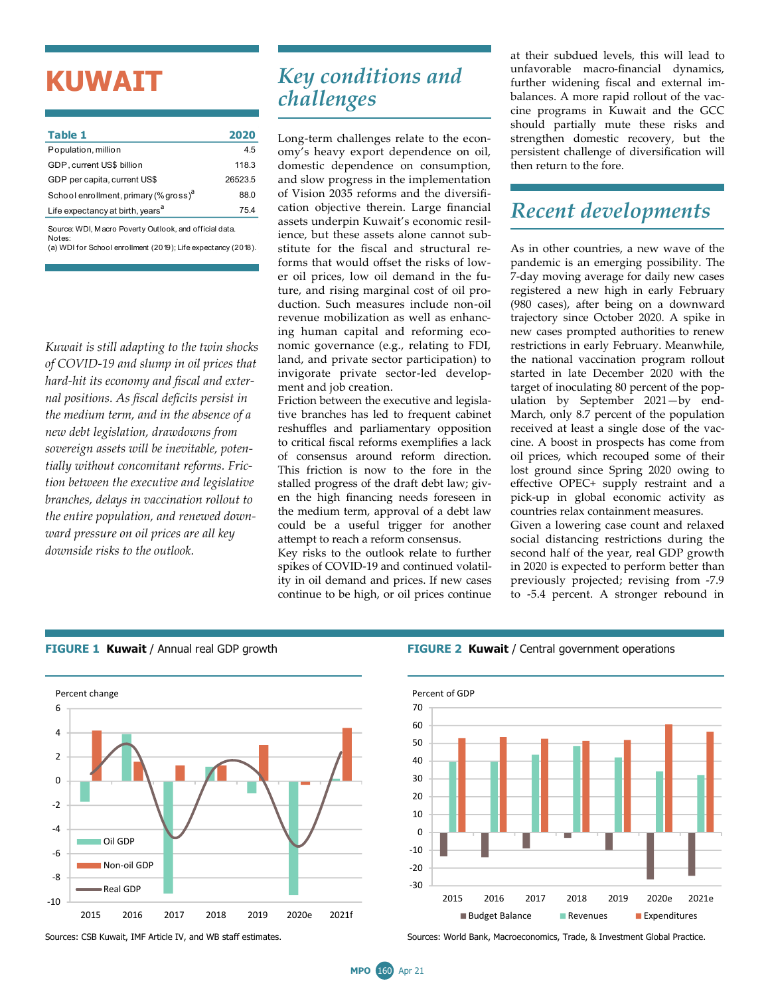# **KUWAIT**

| Table 1                                                          | 2020    |
|------------------------------------------------------------------|---------|
| Population, million                                              | 4.5     |
| GDP, current US\$ billion                                        | 118.3   |
| GDP per capita, current US\$                                     | 26523.5 |
| School enrollment, primary (% gross) <sup>a</sup>                | 88.0    |
| Life expectancy at birth, years <sup>a</sup>                     | 75.4    |
| Source: WDI. Macro Poverty Outlook, and official data.<br>Notes: |         |

(a) WDI for School enrollment (2019); Life expectancy (2018).

*Kuwait is still adapting to the twin shocks of COVID-19 and slump in oil prices that hard-hit its economy and fiscal and external positions. As fiscal deficits persist in the medium term, and in the absence of a new debt legislation, drawdowns from sovereign assets will be inevitable, potentially without concomitant reforms. Friction between the executive and legislative branches, delays in vaccination rollout to the entire population, and renewed downward pressure on oil prices are all key downside risks to the outlook.*

# *Key conditions and challenges*

Long-term challenges relate to the economy's heavy export dependence on oil, domestic dependence on consumption, and slow progress in the implementation of Vision 2035 reforms and the diversification objective therein. Large financial assets underpin Kuwait's economic resilience, but these assets alone cannot substitute for the fiscal and structural reforms that would offset the risks of lower oil prices, low oil demand in the future, and rising marginal cost of oil production. Such measures include non-oil revenue mobilization as well as enhancing human capital and reforming economic governance (e.g., relating to FDI, land, and private sector participation) to invigorate private sector-led development and job creation.

Friction between the executive and legislative branches has led to frequent cabinet reshuffles and parliamentary opposition to critical fiscal reforms exemplifies a lack of consensus around reform direction. This friction is now to the fore in the stalled progress of the draft debt law; given the high financing needs foreseen in the medium term, approval of a debt law could be a useful trigger for another attempt to reach a reform consensus.

Key risks to the outlook relate to further spikes of COVID-19 and continued volatility in oil demand and prices. If new cases continue to be high, or oil prices continue at their subdued levels, this will lead to unfavorable macro-financial dynamics, further widening fiscal and external imbalances. A more rapid rollout of the vaccine programs in Kuwait and the GCC should partially mute these risks and strengthen domestic recovery, but the persistent challenge of diversification will then return to the fore.

## *Recent developments*

As in other countries, a new wave of the pandemic is an emerging possibility. The 7-day moving average for daily new cases registered a new high in early February (980 cases), after being on a downward trajectory since October 2020. A spike in new cases prompted authorities to renew restrictions in early February. Meanwhile, the national vaccination program rollout started in late December 2020 with the target of inoculating 80 percent of the population by September 2021—by end-March, only 8.7 percent of the population received at least a single dose of the vaccine. A boost in prospects has come from oil prices, which recouped some of their lost ground since Spring 2020 owing to effective OPEC+ supply restraint and a pick-up in global economic activity as countries relax containment measures.

Given a lowering case count and relaxed social distancing restrictions during the second half of the year, real GDP growth in 2020 is expected to perform better than previously projected; revising from -7.9 to -5.4 percent. A stronger rebound in



#### **FIGURE 1 Kuwait** / Annual real GDP growth **FIGURE 2 Kuwait** / Central government operations



Sources: CSB Kuwait, IMF Article IV, and WB staff estimates. Sources: World Bank, Macroeconomics, Trade, & Investment Global Practice.